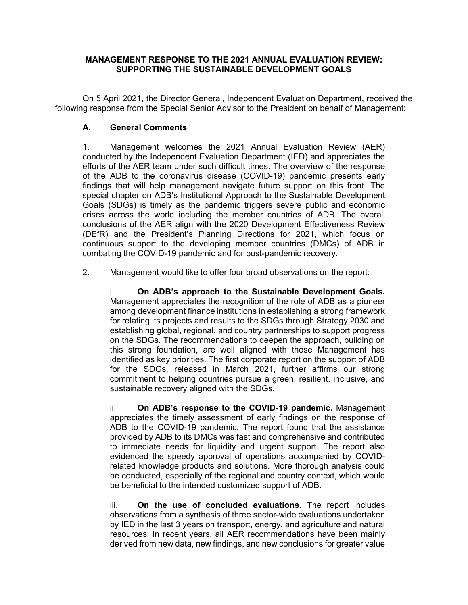## **MANAGEMENT RESPONSE TO THE 2021 ANNUAL EVALUATION REVIEW: SUPPORTING THE SUSTAINABLE DEVELOPMENT GOALS**

On 5 April 2021, the Director General, Independent Evaluation Department, received the following response from the Special Senior Advisor to the President on behalf of Management:

# **A. General Comments**

1. Management welcomes the 2021 Annual Evaluation Review (AER) conducted by the Independent Evaluation Department (IED) and appreciates the efforts of the AER team under such difficult times. The overview of the response of the ADB to the coronavirus disease (COVID-19) pandemic presents early findings that will help management navigate future support on this front. The special chapter on ADB's Institutional Approach to the Sustainable Development Goals (SDGs) is timely as the pandemic triggers severe public and economic crises across the world including the member countries of ADB. The overall conclusions of the AER align with the 2020 Development Effectiveness Review (DEfR) and the President's Planning Directions for 2021, which focus on continuous support to the developing member countries (DMCs) of ADB in combating the COVID-19 pandemic and for post-pandemic recovery.

2. Management would like to offer four broad observations on the report:

i. **On ADB's approach to the Sustainable Development Goals.** Management appreciates the recognition of the role of ADB as a pioneer among development finance institutions in establishing a strong framework for relating its projects and results to the SDGs through Strategy 2030 and establishing global, regional, and country partnerships to support progress on the SDGs. The recommendations to deepen the approach, building on this strong foundation, are well aligned with those Management has identified as key priorities. The first corporate report on the support of ADB for the SDGs, released in March 2021, further affirms our strong commitment to helping countries pursue a green, resilient, inclusive, and sustainable recovery aligned with the SDGs.

ii. **On ADB's response to the COVID-19 pandemic.** Management appreciates the timely assessment of early findings on the response of ADB to the COVID-19 pandemic. The report found that the assistance provided by ADB to its DMCs was fast and comprehensive and contributed to immediate needs for liquidity and urgent support. The report also evidenced the speedy approval of operations accompanied by COVIDrelated knowledge products and solutions. More thorough analysis could be conducted, especially of the regional and country context, which would be beneficial to the intended customized support of ADB.

iii. **On the use of concluded evaluations.** The report includes observations from a synthesis of three sector-wide evaluations undertaken by IED in the last 3 years on transport, energy, and agriculture and natural resources. In recent years, all AER recommendations have been mainly derived from new data, new findings, and new conclusions for greater value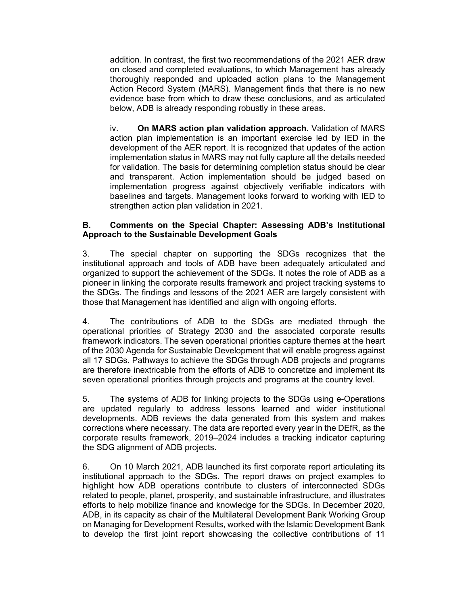addition. In contrast, the first two recommendations of the 2021 AER draw on closed and completed evaluations, to which Management has already thoroughly responded and uploaded action plans to the Management Action Record System (MARS). Management finds that there is no new evidence base from which to draw these conclusions, and as articulated below, ADB is already responding robustly in these areas.

iv. **On MARS action plan validation approach.** Validation of MARS action plan implementation is an important exercise led by IED in the development of the AER report. It is recognized that updates of the action implementation status in MARS may not fully capture all the details needed for validation. The basis for determining completion status should be clear and transparent. Action implementation should be judged based on implementation progress against objectively verifiable indicators with baselines and targets. Management looks forward to working with IED to strengthen action plan validation in 2021.

## **B. Comments on the Special Chapter: Assessing ADB's Institutional Approach to the Sustainable Development Goals**

3. The special chapter on supporting the SDGs recognizes that the institutional approach and tools of ADB have been adequately articulated and organized to support the achievement of the SDGs. It notes the role of ADB as a pioneer in linking the corporate results framework and project tracking systems to the SDGs. The findings and lessons of the 2021 AER are largely consistent with those that Management has identified and align with ongoing efforts.

4. The contributions of ADB to the SDGs are mediated through the operational priorities of Strategy 2030 and the associated corporate results framework indicators. The seven operational priorities capture themes at the heart of the 2030 Agenda for Sustainable Development that will enable progress against all 17 SDGs. Pathways to achieve the SDGs through ADB projects and programs are therefore inextricable from the efforts of ADB to concretize and implement its seven operational priorities through projects and programs at the country level.

5. The systems of ADB for linking projects to the SDGs using e-Operations are updated regularly to address lessons learned and wider institutional developments. ADB reviews the data generated from this system and makes corrections where necessary. The data are reported every year in the DEfR, as the corporate results framework, 2019–2024 includes a tracking indicator capturing the SDG alignment of ADB projects.

6. On 10 March 2021, ADB launched its first corporate report articulating its institutional approach to the SDGs. The report draws on project examples to highlight how ADB operations contribute to clusters of interconnected SDGs related to people, planet, prosperity, and sustainable infrastructure, and illustrates efforts to help mobilize finance and knowledge for the SDGs. In December 2020, ADB, in its capacity as chair of the Multilateral Development Bank Working Group on Managing for Development Results, worked with the Islamic Development Bank to develop the first joint report showcasing the collective contributions of 11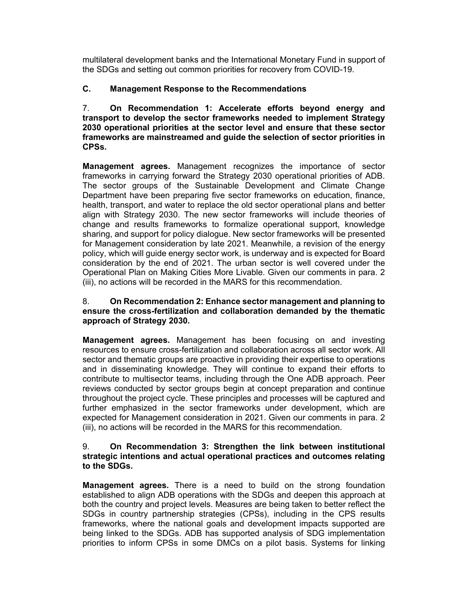multilateral development banks and the International Monetary Fund in support of the SDGs and setting out common priorities for recovery from COVID-19.

# **C. Management Response to the Recommendations**

7. **On Recommendation 1: Accelerate efforts beyond energy and transport to develop the sector frameworks needed to implement Strategy 2030 operational priorities at the sector level and ensure that these sector frameworks are mainstreamed and guide the selection of sector priorities in CPSs.**

**Management agrees.** Management recognizes the importance of sector frameworks in carrying forward the Strategy 2030 operational priorities of ADB. The sector groups of the Sustainable Development and Climate Change Department have been preparing five sector frameworks on education, finance, health, transport, and water to replace the old sector operational plans and better align with Strategy 2030. The new sector frameworks will include theories of change and results frameworks to formalize operational support, knowledge sharing, and support for policy dialogue. New sector frameworks will be presented for Management consideration by late 2021. Meanwhile, a revision of the energy policy, which will guide energy sector work, is underway and is expected for Board consideration by the end of 2021. The urban sector is well covered under the Operational Plan on Making Cities More Livable. Given our comments in para. 2 (iii), no actions will be recorded in the MARS for this recommendation.

## 8. **On Recommendation 2: Enhance sector management and planning to ensure the cross-fertilization and collaboration demanded by the thematic approach of Strategy 2030.**

**Management agrees.** Management has been focusing on and investing resources to ensure cross-fertilization and collaboration across all sector work. All sector and thematic groups are proactive in providing their expertise to operations and in disseminating knowledge. They will continue to expand their efforts to contribute to multisector teams, including through the One ADB approach. Peer reviews conducted by sector groups begin at concept preparation and continue throughout the project cycle. These principles and processes will be captured and further emphasized in the sector frameworks under development, which are expected for Management consideration in 2021. Given our comments in para. 2 (iii), no actions will be recorded in the MARS for this recommendation.

#### 9. **On Recommendation 3: Strengthen the link between institutional strategic intentions and actual operational practices and outcomes relating to the SDGs.**

**Management agrees.** There is a need to build on the strong foundation established to align ADB operations with the SDGs and deepen this approach at both the country and project levels. Measures are being taken to better reflect the SDGs in country partnership strategies (CPSs), including in the CPS results frameworks, where the national goals and development impacts supported are being linked to the SDGs. ADB has supported analysis of SDG implementation priorities to inform CPSs in some DMCs on a pilot basis. Systems for linking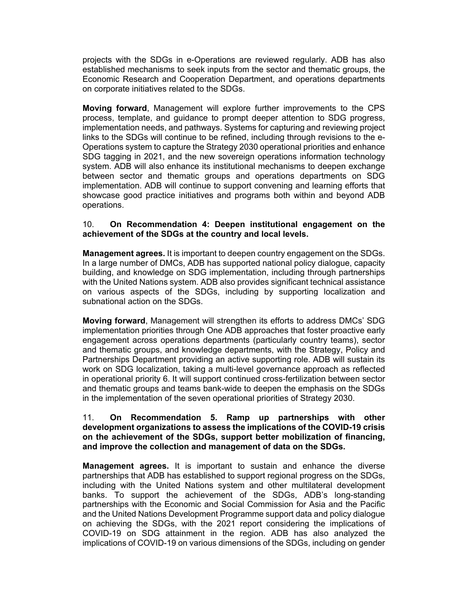projects with the SDGs in e-Operations are reviewed regularly. ADB has also established mechanisms to seek inputs from the sector and thematic groups, the Economic Research and Cooperation Department, and operations departments on corporate initiatives related to the SDGs.

**Moving forward**, Management will explore further improvements to the CPS process, template, and guidance to prompt deeper attention to SDG progress, implementation needs, and pathways. Systems for capturing and reviewing project links to the SDGs will continue to be refined, including through revisions to the e-Operations system to capture the Strategy 2030 operational priorities and enhance SDG tagging in 2021, and the new sovereign operations information technology system. ADB will also enhance its institutional mechanisms to deepen exchange between sector and thematic groups and operations departments on SDG implementation. ADB will continue to support convening and learning efforts that showcase good practice initiatives and programs both within and beyond ADB operations.

## 10. **On Recommendation 4: Deepen institutional engagement on the achievement of the SDGs at the country and local levels.**

**Management agrees.** It is important to deepen country engagement on the SDGs. In a large number of DMCs, ADB has supported national policy dialogue, capacity building, and knowledge on SDG implementation, including through partnerships with the United Nations system. ADB also provides significant technical assistance on various aspects of the SDGs, including by supporting localization and subnational action on the SDGs.

**Moving forward**, Management will strengthen its efforts to address DMCs' SDG implementation priorities through One ADB approaches that foster proactive early engagement across operations departments (particularly country teams), sector and thematic groups, and knowledge departments, with the Strategy, Policy and Partnerships Department providing an active supporting role. ADB will sustain its work on SDG localization, taking a multi-level governance approach as reflected in operational priority 6. It will support continued cross-fertilization between sector and thematic groups and teams bank-wide to deepen the emphasis on the SDGs in the implementation of the seven operational priorities of Strategy 2030.

#### 11. **On Recommendation 5. Ramp up partnerships with other development organizations to assess the implications of the COVID-19 crisis on the achievement of the SDGs, support better mobilization of financing, and improve the collection and management of data on the SDGs.**

**Management agrees.** It is important to sustain and enhance the diverse partnerships that ADB has established to support regional progress on the SDGs, including with the United Nations system and other multilateral development banks. To support the achievement of the SDGs, ADB's long-standing partnerships with the Economic and Social Commission for Asia and the Pacific and the United Nations Development Programme support data and policy dialogue on achieving the SDGs, with the 2021 report considering the implications of COVID-19 on SDG attainment in the region. ADB has also analyzed the implications of COVID-19 on various dimensions of the SDGs, including on gender